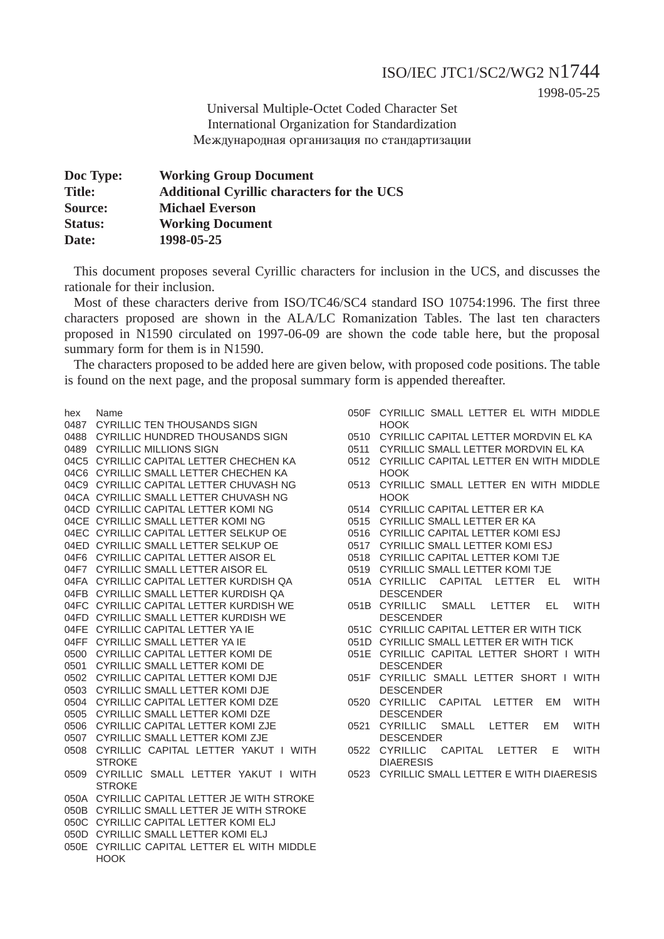1998-05-25

Universal Multiple-Octet Coded Character Set International Organization for Standardization Международная организация по стандартизации

| Doc Type:      | <b>Working Group Document</b>                     |
|----------------|---------------------------------------------------|
| <b>Title:</b>  | <b>Additional Cyrillic characters for the UCS</b> |
| Source:        | <b>Michael Everson</b>                            |
| <b>Status:</b> | <b>Working Document</b>                           |
| Date:          | 1998-05-25                                        |

This document proposes several Cyrillic characters for inclusion in the UCS, and discusses the rationale for their inclusion.

Most of these characters derive from ISO/TC46/SC4 standard ISO 10754:1996. The first three characters proposed are shown in the ALA/LC Romanization Tables. The last ten characters proposed in N1590 circulated on 1997-06-09 are shown the code table here, but the proposal summary form for them is in N1590.

The characters proposed to be added here are given below, with proposed code positions. The table is found on the next page, and the proposal summary form is appended thereafter.

hex Name 0487 CYRILLIC TEN THOUSANDS SIGN 0488 CYRILLIC HUNDRED THOUSANDS SIGN 0489 CYRILLIC MILLIONS SIGN 04C5 CYRILLIC CAPITAL LETTER CHECHEN KA 04C6 CYRILLIC SMALL LETTER CHECHEN KA 04C9 CYRILLIC CAPITAL LETTER CHUVASH NG 04CA CYRILLIC SMALL LETTER CHUVASH NG 04CD CYRILLIC CAPITAL LETTER KOMI NG 04CE CYRILLIC SMALL LETTER KOMI NG 04EC CYRILLIC CAPITAL LETTER SELKUP OE 04ED CYRILLIC SMALL LETTER SELKUP OE 04F6 CYRILLIC CAPITAL LETTER AISOR EL 04F7 CYRILLIC SMALL LETTER AISOR EL 04FA CYRILLIC CAPITAL LETTER KURDISH QA 04FB CYRILLIC SMALL LETTER KURDISH QA 04FC CYRILLIC CAPITAL LETTER KURDISH WE 04FD CYRILLIC SMALL LETTER KURDISH WE 04FE CYRILLIC CAPITAL LETTER YA IE 04FF CYRILLIC SMALL LETTER YA IE 0500 CYRILLIC CAPITAL LETTER KOMI DE 0501 CYRILLIC SMALL LETTER KOMI DE 0502 CYRILLIC CAPITAL LETTER KOMI DJE 0503 CYRILLIC SMALL LETTER KOMI DJE 0504 CYRILLIC CAPITAL LETTER KOMI DZE 0505 CYRILLIC SMALL LETTER KOMI DZE 0506 CYRILLIC CAPITAL LETTER KOMI ZJE 0507 CYRILLIC SMALL LETTER KOMI ZJE 0508 CYRILLIC CAPITAL LETTER YAKUT I WITH **STROKE** 0509 CYRILLIC SMALL LETTER YAKUT I WITH **STROKE** 050A CYRILLIC CAPITAL LETTER JE WITH STROKE 050B CYRILLIC SMALL LETTER JE WITH STROKE 050C CYRILLIC CAPITAL LETTER KOMI ELJ 050D CYRILLIC SMALL LETTER KOMI ELJ 050E CYRILLIC CAPITAL LETTER EL WITH MIDDLE **HOOK** 

- 050F CYRILLIC SMALL LETTER EL WITH MIDDLE **HOOK**
- 0510 CYRILLIC CAPITAL LETTER MORDVIN EL KA
- 0511 CYRILLIC SMALL LETTER MORDVIN EL KA
- 0512 CYRILLIC CAPITAL LETTER EN WITH MIDDLE **HOOK**
- 0513 CYRILLIC SMALL LETTER EN WITH MIDDLE **HOOK**
- 0514 CYRILLIC CAPITAL LETTER ER KA
- 0515 CYRILLIC SMALL LETTER ER KA
- 0516 CYRILLIC CAPITAL LETTER KOMI ESJ
- 0517 CYRILLIC SMALL LETTER KOMI ESJ
- 0518 CYRILLIC CAPITAL LETTER KOMI TJE
- 0519 CYRILLIC SMALL LETTER KOMI TJE
- 051A CYRILLIC CAPITAL LETTER EL WITH DESCENDER
- 051B CYRILLIC SMALL LETTER EL WITH DESCENDER
- 051C CYRILLIC CAPITAL LETTER ER WITH TICK
- 051D CYRILLIC SMALL LETTER ER WITH TICK
- 051E CYRILLIC CAPITAL LETTER SHORT I WITH DESCENDER
- 051F CYRILLIC SMALL LETTER SHORT I WITH DESCENDER
- 0520 CYRILLIC CAPITAL LETTER EM WITH DESCENDER
- 0521 CYRILLIC SMALL LETTER EM WITH DESCENDER
- 0522 CYRILLIC CAPITAL LETTER E WITH DIAERESIS
- 0523 CYRILLIC SMALL LETTER E WITH DIAERESIS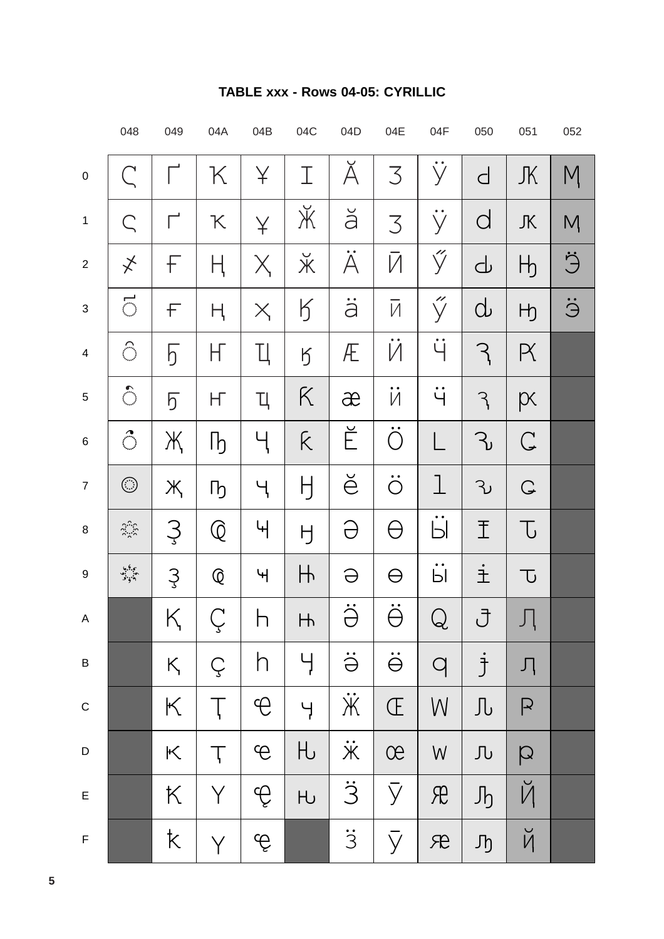|                           | 048                            | 049                                                                                                | 04A                        | 04B           | 04C                  | 04D                  | 04E                      | 04F                                                                                                                                                                                                                                                                                                                                                                                                                                                | 050                     | 051                     | 052              |
|---------------------------|--------------------------------|----------------------------------------------------------------------------------------------------|----------------------------|---------------|----------------------|----------------------|--------------------------|----------------------------------------------------------------------------------------------------------------------------------------------------------------------------------------------------------------------------------------------------------------------------------------------------------------------------------------------------------------------------------------------------------------------------------------------------|-------------------------|-------------------------|------------------|
| $\pmb{0}$                 | $\subset$                      |                                                                                                    | K                          | ¥             | I                    | Ă                    | 3                        | ÿ                                                                                                                                                                                                                                                                                                                                                                                                                                                  | d                       | JK                      | M                |
| $\mathbf 1$               | $\subset$                      | Г                                                                                                  | К                          | ¥             | Ӂ                    | $\breve{\mathrm{d}}$ | 3                        | y                                                                                                                                                                                                                                                                                                                                                                                                                                                  | d                       | JK                      | M                |
| $\sqrt{2}$                | $\overline{\mathsf{X}}$        | F                                                                                                  | Ң                          | $\times$      | $\breve{\mathsf{K}}$ | $\ddot{A}$           | $\bar{M}$                | ý                                                                                                                                                                                                                                                                                                                                                                                                                                                  | <u>ර</u>                | H <sub>0</sub>          | $\ddot{\ominus}$ |
| $\mathsf 3$               | $\overline{\circ}$             | F                                                                                                  | ң                          | $X_{1}$       | $\sqrt{}$            | ä                    | $\overline{M}$           | ý                                                                                                                                                                                                                                                                                                                                                                                                                                                  | $\mathrm{d}$            | H <sub>0</sub>          | $\ddot{\ominus}$ |
| $\overline{\mathbf{4}}$   | $\hat{\circ}$                  | $\sqrt{2}$                                                                                         | $\mathsf H$                | Ҵ             | $\overline{5}$       | Æ                    | $\overline{\mathcal{M}}$ | ÿ                                                                                                                                                                                                                                                                                                                                                                                                                                                  | Z                       | R                       |                  |
| 5                         | $\hat{\circ}$                  | $\overline{5}$                                                                                     | Н                          | Ҵ             | K                    | æ                    | Ӥ                        | $\ddot{q}$                                                                                                                                                                                                                                                                                                                                                                                                                                         | R                       | px                      |                  |
| $\,6$                     | $\hat{\circ}$                  | Ж                                                                                                  | $\mathbb{I}_{\mathcal{D}}$ | Ҷ             | ƙ                    | Ĕ                    | $\ddot{\mathrm{O}}$      |                                                                                                                                                                                                                                                                                                                                                                                                                                                    | <u>ل</u> ح              | $\mathsf{C}$            |                  |
| $\boldsymbol{7}$          | $\odot$                        | Ж                                                                                                  | $\mathsf{D}$               | Ч             | Ӈ                    | $\breve{\ominus}$    | $\ddot{\circ}$           | l                                                                                                                                                                                                                                                                                                                                                                                                                                                  | لح                      | $\mathsf{G}% _{\alpha}$ |                  |
| $\, 8$                    | $\frac{2}{3}$                  | Ş                                                                                                  | $\overline{\mathbb{Q}}$    | Ҹ             | H                    | $\ominus$            | $\Theta$                 | $\Box$                                                                                                                                                                                                                                                                                                                                                                                                                                             | Ī                       | $\overline{U}$          |                  |
| $\boldsymbol{9}$          | ې <sup>بې</sup> بې<br>د نونونو | $\mathcal{S}$                                                                                      | $\overline{\mathbb{Q}}$    | $\mathcal{H}$ | $\mathsf{H}$         | $\ominus$            | $\Theta$                 | $\ddot{5}$                                                                                                                                                                                                                                                                                                                                                                                                                                         | i                       | $\overline{U}$          |                  |
| $\boldsymbol{\mathsf{A}}$ |                                | $\mathsf{K}% _{0}^{\ast }=\mathsf{K}_{\mathrm{N}_{0}}^{\ast }=\mathsf{K}_{\mathrm{N}_{0}}^{\ast }$ | Ç                          | h             | H                    | $\ddot{\Theta}$      | $\ddot{\Theta}$          | $\mathsf{Q}$                                                                                                                                                                                                                                                                                                                                                                                                                                       | J                       |                         |                  |
| $\sf B$                   |                                | $K_{\!\scriptscriptstyle\! L}$                                                                     | Ç                          | $\bigcap$     | Ӌ                    | $\ddot{\ominus}$     | $\ddot{\Theta}$          | $\overline{q}$                                                                                                                                                                                                                                                                                                                                                                                                                                     | $\overline{\mathbf{f}}$ | Л                       |                  |
| $\mathsf C$               |                                | $\boldsymbol{\mathsf{K}}$                                                                          | $\downarrow$               | $\bigoplus$   | Ļ                    | $\ddot{\aleph}$      | $\mathbbm{E}$            | W                                                                                                                                                                                                                                                                                                                                                                                                                                                  | $\int\int_{\mathbb U}$  | $\mathsf P$             |                  |
| $\mathsf D$               |                                | K                                                                                                  |                            | $\Theta$      | $H_{0}$              | .<br>Ж               | œ                        | $\mathsf{W}% _{T}=\mathsf{W}_{T}\!\left( a,b\right) ,\ \mathsf{W}_{T}=\mathsf{W}_{T} \!\left( a,b\right) ,\ \mathsf{W}_{T}=\mathsf{W}_{T} \!\left( a,b\right) ,\ \mathsf{W}_{T}=\mathsf{W}_{T} \!\left( a,b\right) ,\ \mathsf{W}_{T}=\mathsf{W}_{T} \!\left( a,b\right) ,\ \mathsf{W}_{T}=\mathsf{W}_{T} \!\left( a,b\right) ,\ \mathsf{W}_{T}=\mathsf{W}_{T} \!\left( a,b\right) ,\ \mathsf{W}_{T}=\mathsf{W}_{T} \!\left( a,b\right) ,\ \mathsf$ | 几                       | $\beta$                 |                  |
| $\mathsf E$               |                                | ${\sf K}$                                                                                          | Y                          | Ĝ             | $H_{\text{U}}$       | $\ddot{3}$           | $\overline{y}$           | $\mathcal{R}$                                                                                                                                                                                                                                                                                                                                                                                                                                      | J <sub>b</sub>          | Й                       |                  |
| $\mathsf F$               |                                | k                                                                                                  | Y                          | Ĝ             |                      | $\ddot{3}$           | $\overline{y}$           | $\mathcal{R}$                                                                                                                                                                                                                                                                                                                                                                                                                                      | Лŋ                      | Й                       |                  |

### TABLE xxx - Rows 04-05: CYRILLIC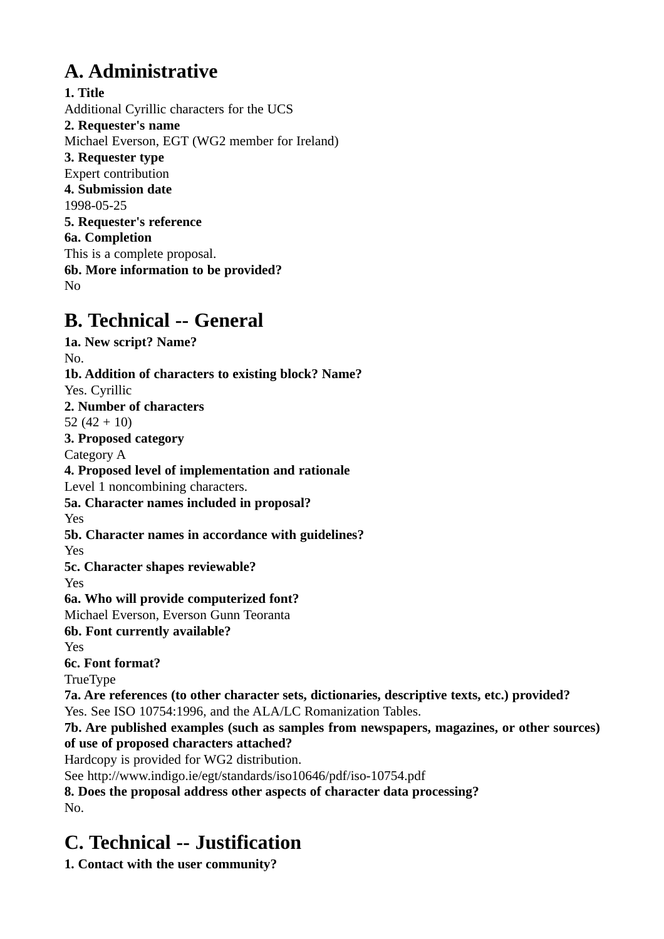# **A. Administrative**

**1. Title** Additional Cyrillic characters for the UCS **2. Requester's name** Michael Everson, EGT (WG2 member for Ireland) **3. Requester type** Expert contribution **4. Submission date** 1998-05-25 **5. Requester's reference 6a. Completion** This is a complete proposal. **6b. More information to be provided?** No

### **B. Technical -- General**

**1a. New script? Name?** No. **1b. Addition of characters to existing block? Name?** Yes. Cyrillic **2. Number of characters** 52 $(42 + 10)$ **3. Proposed category** Category A **4. Proposed level of implementation and rationale** Level 1 noncombining characters. **5a. Character names included in proposal?** Yes **5b. Character names in accordance with guidelines?** Yes **5c. Character shapes reviewable?** Yes **6a. Who will provide computerized font?** Michael Everson, Everson Gunn Teoranta **6b. Font currently available?** Yes **6c. Font format?** TrueType **7a. Are references (to other character sets, dictionaries, descriptive texts, etc.) provided?** Yes. See ISO 10754:1996, and the ALA/LC Romanization Tables. **7b. Are published examples (such as samples from newspapers, magazines, or other sources) of use of proposed characters attached?** Hardcopy is provided for WG2 distribution. See http://www.indigo.ie/egt/standards/iso10646/pdf/iso-10754.pdf **8. Does the proposal address other aspects of character data processing?** No.

## **C. Technical -- Justification**

**1. Contact with the user community?**